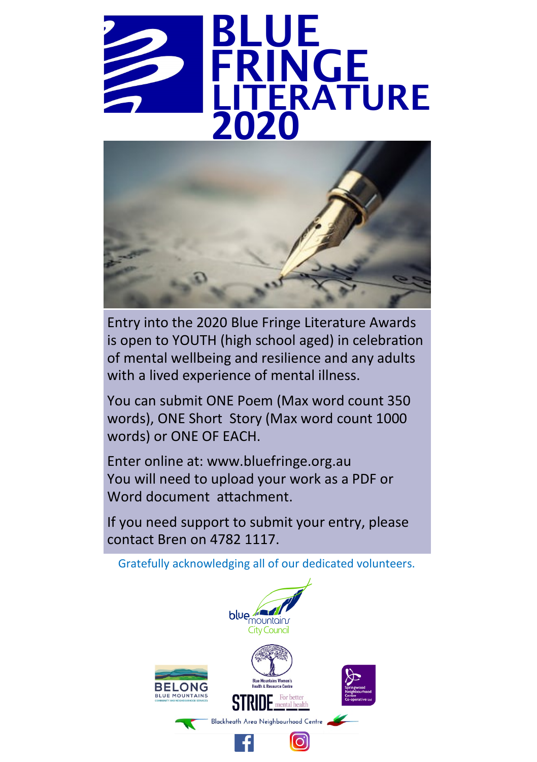



Entry into the 2020 Blue Fringe Literature Awards is open to YOUTH (high school aged) in celebration of mental wellbeing and resilience and any adults with a lived experience of mental illness.

You can submit ONE Poem (Max word count 350 words), ONE Short Story (Max word count 1000 words) or ONE OF EACH.

Enter online at: www.bluefringe.org.au You will need to upload your work as a PDF or Word document attachment.

If you need support to submit your entry, please contact Bren on 4782 1117.

Gratefully acknowledging all of our dedicated volunteers.